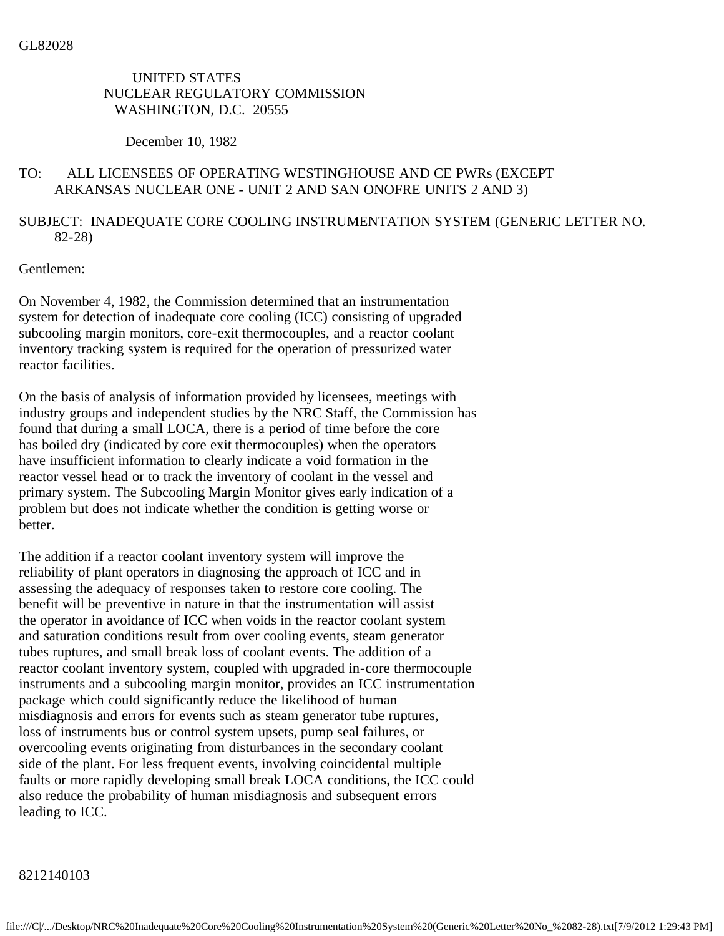## UNITED STATES NUCLEAR REGULATORY COMMISSION WASHINGTON, D.C. 20555

#### December 10, 1982

### TO: ALL LICENSEES OF OPERATING WESTINGHOUSE AND CE PWRs (EXCEPT ARKANSAS NUCLEAR ONE - UNIT 2 AND SAN ONOFRE UNITS 2 AND 3)

# SUBJECT: INADEQUATE CORE COOLING INSTRUMENTATION SYSTEM (GENERIC LETTER NO. 82-28)

### Gentlemen:

On November 4, 1982, the Commission determined that an instrumentation system for detection of inadequate core cooling (ICC) consisting of upgraded subcooling margin monitors, core-exit thermocouples, and a reactor coolant inventory tracking system is required for the operation of pressurized water reactor facilities.

On the basis of analysis of information provided by licensees, meetings with industry groups and independent studies by the NRC Staff, the Commission has found that during a small LOCA, there is a period of time before the core has boiled dry (indicated by core exit thermocouples) when the operators have insufficient information to clearly indicate a void formation in the reactor vessel head or to track the inventory of coolant in the vessel and primary system. The Subcooling Margin Monitor gives early indication of a problem but does not indicate whether the condition is getting worse or better.

The addition if a reactor coolant inventory system will improve the reliability of plant operators in diagnosing the approach of ICC and in assessing the adequacy of responses taken to restore core cooling. The benefit will be preventive in nature in that the instrumentation will assist the operator in avoidance of ICC when voids in the reactor coolant system and saturation conditions result from over cooling events, steam generator tubes ruptures, and small break loss of coolant events. The addition of a reactor coolant inventory system, coupled with upgraded in-core thermocouple instruments and a subcooling margin monitor, provides an ICC instrumentation package which could significantly reduce the likelihood of human misdiagnosis and errors for events such as steam generator tube ruptures, loss of instruments bus or control system upsets, pump seal failures, or overcooling events originating from disturbances in the secondary coolant side of the plant. For less frequent events, involving coincidental multiple faults or more rapidly developing small break LOCA conditions, the ICC could also reduce the probability of human misdiagnosis and subsequent errors leading to ICC.

#### 8212140103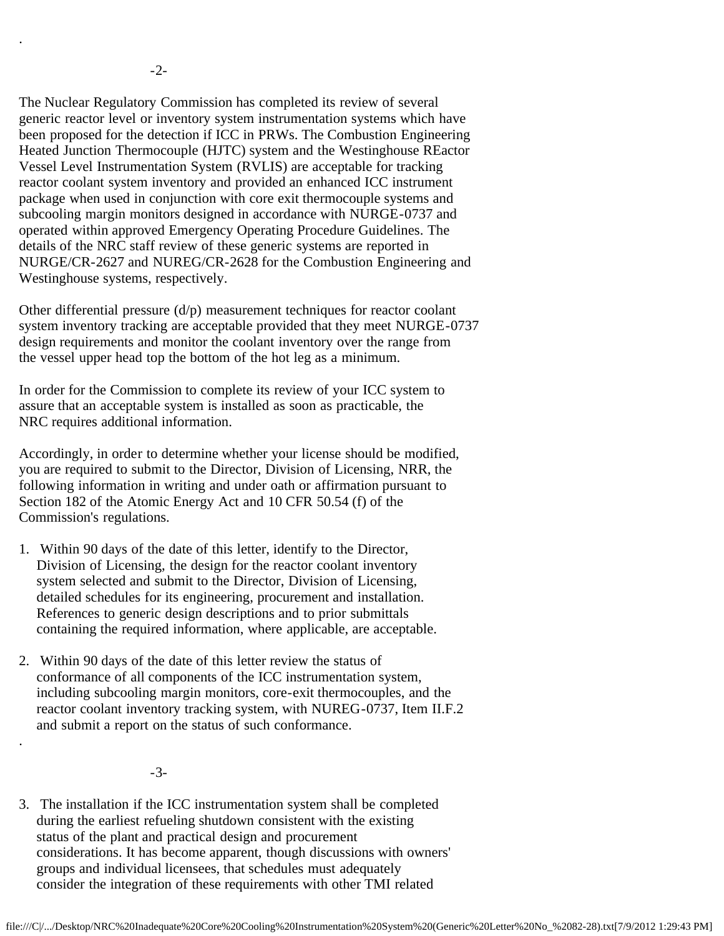.

.

The Nuclear Regulatory Commission has completed its review of several generic reactor level or inventory system instrumentation systems which have been proposed for the detection if ICC in PRWs. The Combustion Engineering Heated Junction Thermocouple (HJTC) system and the Westinghouse REactor Vessel Level Instrumentation System (RVLIS) are acceptable for tracking reactor coolant system inventory and provided an enhanced ICC instrument package when used in conjunction with core exit thermocouple systems and subcooling margin monitors designed in accordance with NURGE-0737 and operated within approved Emergency Operating Procedure Guidelines. The details of the NRC staff review of these generic systems are reported in NURGE/CR-2627 and NUREG/CR-2628 for the Combustion Engineering and Westinghouse systems, respectively.

Other differential pressure  $(d/p)$  measurement techniques for reactor coolant system inventory tracking are acceptable provided that they meet NURGE-0737 design requirements and monitor the coolant inventory over the range from the vessel upper head top the bottom of the hot leg as a minimum.

In order for the Commission to complete its review of your ICC system to assure that an acceptable system is installed as soon as practicable, the NRC requires additional information.

Accordingly, in order to determine whether your license should be modified, you are required to submit to the Director, Division of Licensing, NRR, the following information in writing and under oath or affirmation pursuant to Section 182 of the Atomic Energy Act and 10 CFR 50.54 (f) of the Commission's regulations.

- 1. Within 90 days of the date of this letter, identify to the Director, Division of Licensing, the design for the reactor coolant inventory system selected and submit to the Director, Division of Licensing, detailed schedules for its engineering, procurement and installation. References to generic design descriptions and to prior submittals containing the required information, where applicable, are acceptable.
- 2. Within 90 days of the date of this letter review the status of conformance of all components of the ICC instrumentation system, including subcooling margin monitors, core-exit thermocouples, and the reactor coolant inventory tracking system, with NUREG-0737, Item II.F.2 and submit a report on the status of such conformance.

-3-

3. The installation if the ICC instrumentation system shall be completed during the earliest refueling shutdown consistent with the existing status of the plant and practical design and procurement considerations. It has become apparent, though discussions with owners' groups and individual licensees, that schedules must adequately consider the integration of these requirements with other TMI related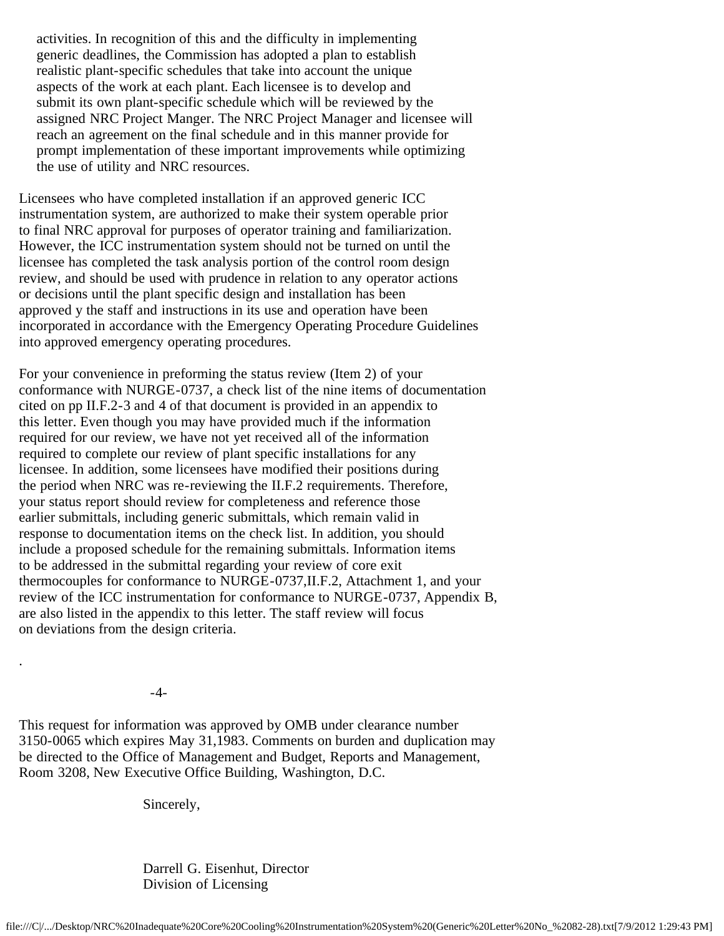activities. In recognition of this and the difficulty in implementing generic deadlines, the Commission has adopted a plan to establish realistic plant-specific schedules that take into account the unique aspects of the work at each plant. Each licensee is to develop and submit its own plant-specific schedule which will be reviewed by the assigned NRC Project Manger. The NRC Project Manager and licensee will reach an agreement on the final schedule and in this manner provide for prompt implementation of these important improvements while optimizing the use of utility and NRC resources.

Licensees who have completed installation if an approved generic ICC instrumentation system, are authorized to make their system operable prior to final NRC approval for purposes of operator training and familiarization. However, the ICC instrumentation system should not be turned on until the licensee has completed the task analysis portion of the control room design review, and should be used with prudence in relation to any operator actions or decisions until the plant specific design and installation has been approved y the staff and instructions in its use and operation have been incorporated in accordance with the Emergency Operating Procedure Guidelines into approved emergency operating procedures.

For your convenience in preforming the status review (Item 2) of your conformance with NURGE-0737, a check list of the nine items of documentation cited on pp II.F.2-3 and 4 of that document is provided in an appendix to this letter. Even though you may have provided much if the information required for our review, we have not yet received all of the information required to complete our review of plant specific installations for any licensee. In addition, some licensees have modified their positions during the period when NRC was re-reviewing the II.F.2 requirements. Therefore, your status report should review for completeness and reference those earlier submittals, including generic submittals, which remain valid in response to documentation items on the check list. In addition, you should include a proposed schedule for the remaining submittals. Information items to be addressed in the submittal regarding your review of core exit thermocouples for conformance to NURGE-0737,II.F.2, Attachment 1, and your review of the ICC instrumentation for conformance to NURGE-0737, Appendix B, are also listed in the appendix to this letter. The staff review will focus on deviations from the design criteria.

-4-

.

This request for information was approved by OMB under clearance number 3150-0065 which expires May 31,1983. Comments on burden and duplication may be directed to the Office of Management and Budget, Reports and Management, Room 3208, New Executive Office Building, Washington, D.C.

Sincerely,

 Darrell G. Eisenhut, Director Division of Licensing